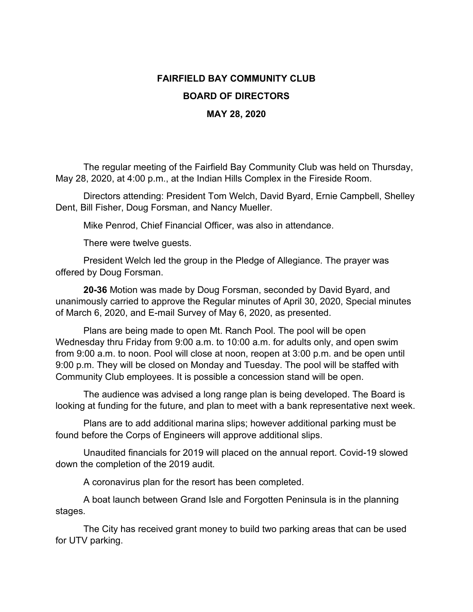## **FAIRFIELD BAY COMMUNITY CLUB BOARD OF DIRECTORS MAY 28, 2020**

The regular meeting of the Fairfield Bay Community Club was held on Thursday, May 28, 2020, at 4:00 p.m., at the Indian Hills Complex in the Fireside Room.

Directors attending: President Tom Welch, David Byard, Ernie Campbell, Shelley Dent, Bill Fisher, Doug Forsman, and Nancy Mueller.

Mike Penrod, Chief Financial Officer, was also in attendance.

There were twelve guests.

President Welch led the group in the Pledge of Allegiance. The prayer was offered by Doug Forsman.

**20-36** Motion was made by Doug Forsman, seconded by David Byard, and unanimously carried to approve the Regular minutes of April 30, 2020, Special minutes of March 6, 2020, and E-mail Survey of May 6, 2020, as presented.

Plans are being made to open Mt. Ranch Pool. The pool will be open Wednesday thru Friday from 9:00 a.m. to 10:00 a.m. for adults only, and open swim from 9:00 a.m. to noon. Pool will close at noon, reopen at 3:00 p.m. and be open until 9:00 p.m. They will be closed on Monday and Tuesday. The pool will be staffed with Community Club employees. It is possible a concession stand will be open.

The audience was advised a long range plan is being developed. The Board is looking at funding for the future, and plan to meet with a bank representative next week.

Plans are to add additional marina slips; however additional parking must be found before the Corps of Engineers will approve additional slips.

Unaudited financials for 2019 will placed on the annual report. Covid-19 slowed down the completion of the 2019 audit.

A coronavirus plan for the resort has been completed.

A boat launch between Grand Isle and Forgotten Peninsula is in the planning stages.

The City has received grant money to build two parking areas that can be used for UTV parking.